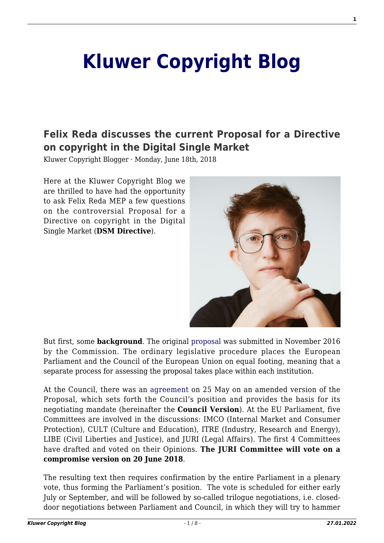# **[Kluwer Copyright Blog](http://copyrightblog.kluweriplaw.com/)**

## **[Felix Reda discusses the current Proposal for a Directive](http://copyrightblog.kluweriplaw.com/2018/06/18/felix-reda-discusses-the-current-proposal-for-a-directive-on-copyright-in-the-digital-single-market/) [on copyright in the Digital Single Market](http://copyrightblog.kluweriplaw.com/2018/06/18/felix-reda-discusses-the-current-proposal-for-a-directive-on-copyright-in-the-digital-single-market/)**

Kluwer Copyright Blogger · Monday, June 18th, 2018

Here at the Kluwer Copyright Blog we are thrilled to have had the opportunity to ask Felix Reda MEP a few questions on the controversial Proposal for a Directive on copyright in the Digital Single Market (**DSM Directive**).



But first, some **background**. The original [proposal](https://eur-lex.europa.eu/legal-content/EN/TXT/?uri=CELEX:52016PC0593) was submitted in November 2016 by the Commission. The ordinary legislative procedure places the European Parliament and the Council of the European Union on equal footing, meaning that a separate process for assessing the proposal takes place within each institution.

At the Council, there was an [agreement](https://eur-lex.europa.eu/legal-content/EN/TXT/PDF/?uri=CONSIL:ST_9134_2018_INIT&from=EN) on 25 May on an amended version of the Proposal, which sets forth the Council's position and provides the basis for its negotiating mandate (hereinafter the **Council Version**). At the EU Parliament, five Committees are involved in the discussions: IMCO (Internal Market and Consumer Protection), CULT (Culture and Education), ITRE (Industry, Research and Energy), LIBE (Civil Liberties and Justice), and JURI (Legal Affairs). The first 4 Committees have drafted and voted on their Opinions. **The JURI Committee will vote on a compromise version on 20 June 2018**.

The resulting text then requires confirmation by the entire Parliament in a plenary vote, thus forming the Parliament's position. The vote is scheduled for either early July or September, and will be followed by so-called trilogue negotiations, i.e. closeddoor negotiations between Parliament and Council, in which they will try to hammer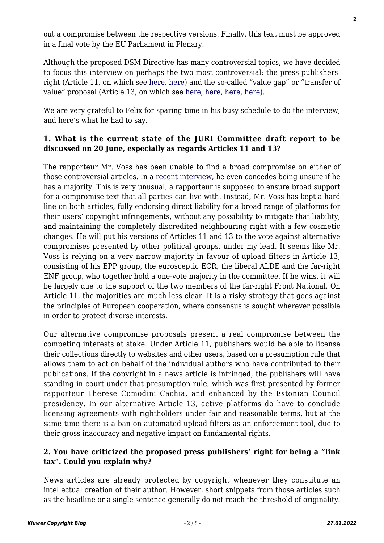out a compromise between the respective versions. Finally, this text must be approved in a final vote by the EU Parliament in Plenary.

Although the proposed DSM Directive has many controversial topics, we have decided to focus this interview on perhaps the two most controversial: the press publishers' right (Article 11, on which see [here,](http://copyrightblog.kluweriplaw.com/2018/03/13/copyright-reform-new-right-press-publishers-not/) [here](http://copyrightblog.kluweriplaw.com/2018/04/19/proposed-press-publishers-right-5-historical-lessons-learn/)) and the so-called "value gap" or "transfer of value" proposal (Article 13, on which see [here,](http://copyrightblog.kluweriplaw.com/2017/04/10/comments-value-gap-provisions-european-commissions-proposal-directive-copyright-digital-single-market-article-13-recital-38/) [here](http://copyrightblog.kluweriplaw.com/2017/09/08/compromising-digital-single-market-quick-look-estonian-presidency-proposals-art-13/), [here,](http://copyrightblog.kluweriplaw.com/2017/10/19/recommendation-measures-safeguard-fundamental-rights-open-internet-framework-eu-copyright-reform/) [here](http://copyrightblog.kluweriplaw.com/2018/06/12/much-know-notice-takedown-new-study-tracks-youtube-removals/)).

We are very grateful to Felix for sparing time in his busy schedule to do the interview, and here's what he had to say.

### **1. What is the current state of the JURI Committee draft report to be discussed on 20 June, especially as regards Articles 11 and 13?**

The rapporteur Mr. Voss has been unable to find a broad compromise on either of those controversial articles. In a [recent interview,](https://www.politico.eu/pro/voss-unsure-if-copyright-report-will-pass-committee-vote/) he even concedes being unsure if he has a majority. This is very unusual, a rapporteur is supposed to ensure broad support for a compromise text that all parties can live with. Instead, Mr. Voss has kept a hard line on both articles, fully endorsing direct liability for a broad range of platforms for their users' copyright infringements, without any possibility to mitigate that liability, and maintaining the completely discredited neighbouring right with a few cosmetic changes. He will put his versions of Articles 11 and 13 to the vote against alternative compromises presented by other political groups, under my lead. It seems like Mr. Voss is relying on a very narrow majority in favour of upload filters in Article 13, consisting of his EPP group, the eurosceptic ECR, the liberal ALDE and the far-right ENF group, who together hold a one-vote majority in the committee. If he wins, it will be largely due to the support of the two members of the far-right Front National. On Article 11, the majorities are much less clear. It is a risky strategy that goes against the principles of European cooperation, where consensus is sought wherever possible in order to protect diverse interests.

Our alternative compromise proposals present a real compromise between the competing interests at stake. Under Article 11, publishers would be able to license their collections directly to websites and other users, based on a presumption rule that allows them to act on behalf of the individual authors who have contributed to their publications. If the copyright in a news article is infringed, the publishers will have standing in court under that presumption rule, which was first presented by former rapporteur Therese Comodini Cachia, and enhanced by the Estonian Council presidency. In our alternative Article 13, active platforms do have to conclude licensing agreements with rightholders under fair and reasonable terms, but at the same time there is a ban on automated upload filters as an enforcement tool, due to their gross inaccuracy and negative impact on fundamental rights.

#### **2. You have criticized the proposed press publishers' right for being a "link tax". Could you explain why?**

News articles are already protected by copyright whenever they constitute an intellectual creation of their author. However, short snippets from those articles such as the headline or a single sentence generally do not reach the threshold of originality.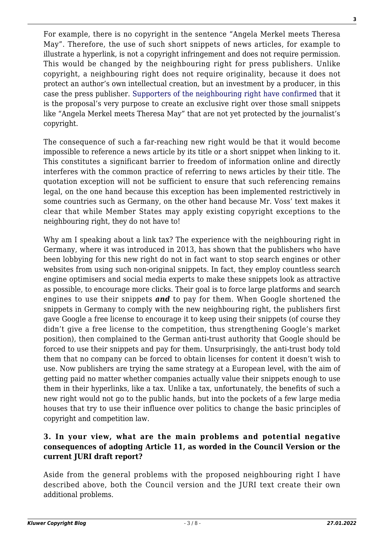For example, there is no copyright in the sentence "Angela Merkel meets Theresa May". Therefore, the use of such short snippets of news articles, for example to illustrate a hyperlink, is not a copyright infringement and does not require permission. This would be changed by the neighbouring right for press publishers. Unlike copyright, a neighbouring right does not require originality, because it does not protect an author's own intellectual creation, but an investment by a producer, in this case the press publisher. [Supporters of the neighbouring right have confirmed](https://juliareda.eu/2017/12/breaking-the-web/) that it is the proposal's very purpose to create an exclusive right over those small snippets like "Angela Merkel meets Theresa May" that are not yet protected by the journalist's copyright.

The consequence of such a far-reaching new right would be that it would become impossible to reference a news article by its title or a short snippet when linking to it. This constitutes a significant barrier to freedom of information online and directly interferes with the common practice of referring to news articles by their title. The quotation exception will not be sufficient to ensure that such referencing remains legal, on the one hand because this exception has been implemented restrictively in some countries such as Germany, on the other hand because Mr. Voss' text makes it clear that while Member States may apply existing copyright exceptions to the neighbouring right, they do not have to!

Why am I speaking about a link tax? The experience with the neighbouring right in Germany, where it was introduced in 2013, has shown that the publishers who have been lobbying for this new right do not in fact want to stop search engines or other websites from using such non-original snippets. In fact, they employ countless search engine optimisers and social media experts to make these snippets look as attractive as possible, to encourage more clicks. Their goal is to force large platforms and search engines to use their snippets *and* to pay for them. When Google shortened the snippets in Germany to comply with the new neighbouring right, the publishers first gave Google a free license to encourage it to keep using their snippets (of course they didn't give a free license to the competition, thus strengthening Google's market position), then complained to the German anti-trust authority that Google should be forced to use their snippets and pay for them. Unsurprisingly, the anti-trust body told them that no company can be forced to obtain licenses for content it doesn't wish to use. Now publishers are trying the same strategy at a European level, with the aim of getting paid no matter whether companies actually value their snippets enough to use them in their hyperlinks, like a tax. Unlike a tax, unfortunately, the benefits of such a new right would not go to the public hands, but into the pockets of a few large media houses that try to use their influence over politics to change the basic principles of copyright and competition law.

#### **3. In your view, what are the main problems and potential negative consequences of adopting Article 11, as worded in the Council Version or the current JURI draft report?**

Aside from the general problems with the proposed neighbouring right I have described above, both the Council version and the JURI text create their own additional problems.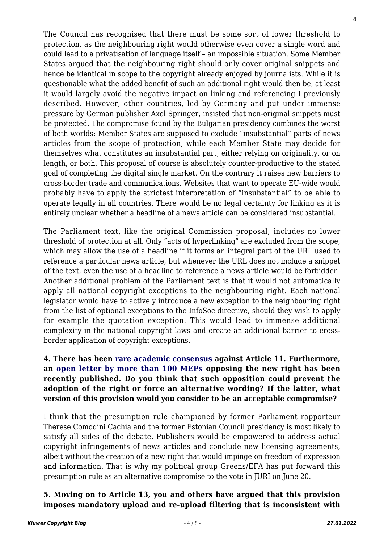The Council has recognised that there must be some sort of lower threshold to protection, as the neighbouring right would otherwise even cover a single word and could lead to a privatisation of language itself – an impossible situation. Some Member States argued that the neighbouring right should only cover original snippets and hence be identical in scope to the copyright already enjoyed by journalists. While it is questionable what the added benefit of such an additional right would then be, at least it would largely avoid the negative impact on linking and referencing I previously described. However, other countries, led by Germany and put under immense pressure by German publisher Axel Springer, insisted that non-original snippets must be protected. The compromise found by the Bulgarian presidency combines the worst of both worlds: Member States are supposed to exclude "insubstantial" parts of news articles from the scope of protection, while each Member State may decide for themselves what constitutes an insubstantial part, either relying on originality, or on length, or both. This proposal of course is absolutely counter-productive to the stated goal of completing the digital single market. On the contrary it raises new barriers to cross-border trade and communications. Websites that want to operate EU-wide would probably have to apply the strictest interpretation of "insubstantial" to be able to operate legally in all countries. There would be no legal certainty for linking as it is entirely unclear whether a headline of a news article can be considered insubstantial.

The Parliament text, like the original Commission proposal, includes no lower threshold of protection at all. Only "acts of hyperlinking" are excluded from the scope, which may allow the use of a headline if it forms an integral part of the URL used to reference a particular news article, but whenever the URL does not include a snippet of the text, even the use of a headline to reference a news article would be forbidden. Another additional problem of the Parliament text is that it would not automatically apply all national copyright exceptions to the neighbouring right. Each national legislator would have to actively introduce a new exception to the neighbouring right from the list of optional exceptions to the InfoSoc directive, should they wish to apply for example the quotation exception. This would lead to immense additional complexity in the national copyright laws and create an additional barrier to crossborder application of copyright exceptions.

#### **4. There has been [rare academic consensus](https://www.ivir.nl/academics-against-press-publishers-right/) against Article 11. Furthermore, an [open letter by more than 100 MEPs](https://www.digitalagendaintergroup.eu/more-than-a-hundred-meps-oppose-new-publishers-right/) opposing the new right has been recently published. Do you think that such opposition could prevent the adoption of the right or force an alternative wording? If the latter, what version of this provision would you consider to be an acceptable compromise?**

I think that the presumption rule championed by former Parliament rapporteur Therese Comodini Cachia and the former Estonian Council presidency is most likely to satisfy all sides of the debate. Publishers would be empowered to address actual copyright infringements of news articles and conclude new licensing agreements, albeit without the creation of a new right that would impinge on freedom of expression and information. That is why my political group Greens/EFA has put forward this presumption rule as an alternative compromise to the vote in JURI on June 20.

#### **5. Moving on to Article 13, you and others have argued that this provision imposes mandatory upload and re-upload filtering that is inconsistent with**

**4**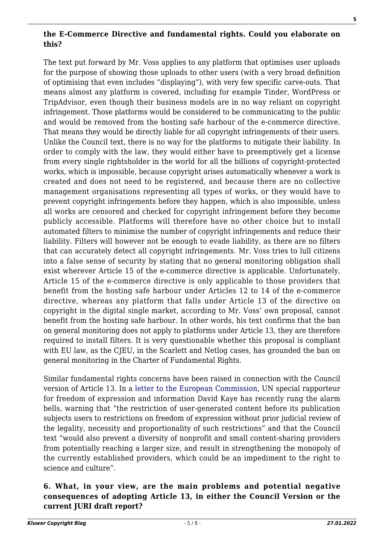### **the E-Commerce Directive and fundamental rights. Could you elaborate on this?**

The text put forward by Mr. Voss applies to any platform that optimises user uploads for the purpose of showing those uploads to other users (with a very broad definition of optimising that even includes "displaying"), with very few specific carve-outs. That means almost any platform is covered, including for example Tinder, WordPress or TripAdvisor, even though their business models are in no way reliant on copyright infringement. Those platforms would be considered to be communicating to the public and would be removed from the hosting safe harbour of the e-commerce directive. That means they would be directly liable for all copyright infringements of their users. Unlike the Council text, there is no way for the platforms to mitigate their liability. In order to comply with the law, they would either have to preemptively get a license from every single rightsholder in the world for all the billions of copyright-protected works, which is impossible, because copyright arises automatically whenever a work is created and does not need to be registered, and because there are no collective management organisations representing all types of works, or they would have to prevent copyright infringements before they happen, which is also impossible, unless all works are censored and checked for copyright infringement before they become publicly accessible. Platforms will therefore have no other choice but to install automated filters to minimise the number of copyright infringements and reduce their liability. Filters will however not be enough to evade liability, as there are no filters that can accurately detect all copyright infringements. Mr. Voss tries to lull citizens into a false sense of security by stating that no general monitoring obligation shall exist wherever Article 15 of the e-commerce directive is applicable. Unfortunately, Article 15 of the e-commerce directive is only applicable to those providers that benefit from the hosting safe harbour under Articles 12 to 14 of the e-commerce directive, whereas any platform that falls under Article 13 of the directive on copyright in the digital single market, according to Mr. Voss' own proposal, cannot benefit from the hosting safe harbour. In other words, his text confirms that the ban on general monitoring does not apply to platforms under Article 13, they are therefore required to install filters. It is very questionable whether this proposal is compliant with EU law, as the CJEU, in the Scarlett and Netlog cases, has grounded the ban on general monitoring in the Charter of Fundamental Rights.

Similar fundamental rights concerns have been raised in connection with the Council version of Article 13. In a [letter to the European Commission](https://www.ohchr.org/Documents/Issues/Opinion/Legislation/OL-OTH-41-2018.pdf), UN special rapporteur for freedom of expression and information David Kaye has recently rung the alarm bells, warning that "the restriction of user-generated content before its publication subjects users to restrictions on freedom of expression without prior judicial review of the legality, necessity and proportionality of such restrictions" and that the Council text "would also prevent a diversity of nonprofit and small content-sharing providers from potentially reaching a larger size, and result in strengthening the monopoly of the currently established providers, which could be an impediment to the right to science and culture".

#### **6. What, in your view, are the main problems and potential negative consequences of adopting Article 13, in either the Council Version or the current JURI draft report?**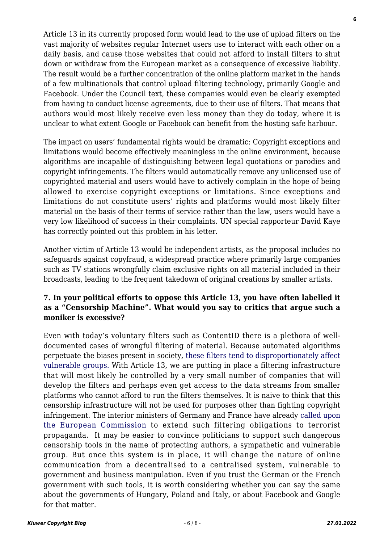Article 13 in its currently proposed form would lead to the use of upload filters on the vast majority of websites regular Internet users use to interact with each other on a daily basis, and cause those websites that could not afford to install filters to shut down or withdraw from the European market as a consequence of excessive liability. The result would be a further concentration of the online platform market in the hands of a few multinationals that control upload filtering technology, primarily Google and Facebook. Under the Council text, these companies would even be clearly exempted from having to conduct license agreements, due to their use of filters. That means that authors would most likely receive even less money than they do today, where it is unclear to what extent Google or Facebook can benefit from the hosting safe harbour.

The impact on users' fundamental rights would be dramatic: Copyright exceptions and limitations would become effectively meaningless in the online environment, because algorithms are incapable of distinguishing between legal quotations or parodies and copyright infringements. The filters would automatically remove any unlicensed use of copyrighted material and users would have to actively complain in the hope of being allowed to exercise copyright exceptions or limitations. Since exceptions and limitations do not constitute users' rights and platforms would most likely filter material on the basis of their terms of service rather than the law, users would have a very low likelihood of success in their complaints. UN special rapporteur David Kaye has correctly pointed out this problem in his letter.

Another victim of Article 13 would be independent artists, as the proposal includes no safeguards against copyfraud, a widespread practice where primarily large companies such as TV stations wrongfully claim exclusive rights on all material included in their broadcasts, leading to the frequent takedown of original creations by smaller artists.

#### **7. In your political efforts to oppose this Article 13, you have often labelled it as a "Censorship Machine". What would you say to critics that argue such a moniker is excessive?**

Even with today's voluntary filters such as ContentID there is a plethora of welldocumented cases of wrongful filtering of material. Because automated algorithms perpetuate the biases present in society, [these filters tend to disproportionately affect](https://juliareda.eu/2017/09/when-filters-fail/) [vulnerable groups.](https://juliareda.eu/2017/09/when-filters-fail/) With Article 13, we are putting in place a filtering infrastructure that will most likely be controlled by a very small number of companies that will develop the filters and perhaps even get access to the data streams from smaller platforms who cannot afford to run the filters themselves. It is naive to think that this censorship infrastructure will not be used for purposes other than fighting copyright infringement. The interior ministers of Germany and France have already [called upon](https://netzpolitik.org/2018/wir-veroeffentlichen-seinen-wunschzettel-seehofer-fordert-von-eu-kommission-massive-internetzensur/) [the European Commission t](https://netzpolitik.org/2018/wir-veroeffentlichen-seinen-wunschzettel-seehofer-fordert-von-eu-kommission-massive-internetzensur/)o extend such filtering obligations to terrorist propaganda. It may be easier to convince politicians to support such dangerous censorship tools in the name of protecting authors, a sympathetic and vulnerable group. But once this system is in place, it will change the nature of online communication from a decentralised to a centralised system, vulnerable to government and business manipulation. Even if you trust the German or the French government with such tools, it is worth considering whether you can say the same about the governments of Hungary, Poland and Italy, or about Facebook and Google for that matter.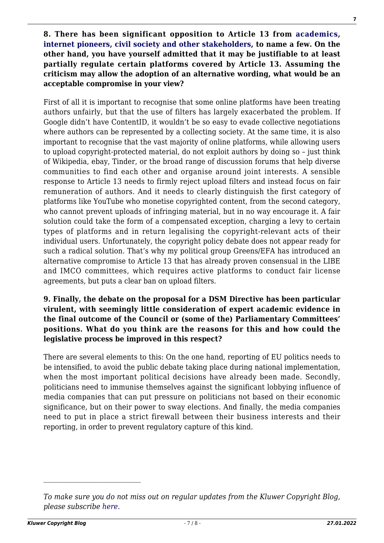**8. There has been significant opposition to Article 13 from [academics](http://copyrightblog.kluweriplaw.com/2017/10/19/recommendation-measures-safeguard-fundamental-rights-open-internet-framework-eu-copyright-reform/), [internet pioneers,](https://www.eff.org/deeplinks/2018/06/internet-luminaries-ring-alarm-eu-copyright-filtering-proposal) [civil society and other stakeholders](https://saveyourinternet.eu/about-this-campaign/), to name a few. On the other hand, you have yourself admitted that it may be justifiable to at least partially regulate certain platforms covered by Article 13. Assuming the criticism may allow the adoption of an alternative wording, what would be an acceptable compromise in your view?**

First of all it is important to recognise that some online platforms have been treating authors unfairly, but that the use of filters has largely exacerbated the problem. If Google didn't have ContentID, it wouldn't be so easy to evade collective negotiations where authors can be represented by a collecting society. At the same time, it is also important to recognise that the vast majority of online platforms, while allowing users to upload copyright-protected material, do not exploit authors by doing so – just think of Wikipedia, ebay, Tinder, or the broad range of discussion forums that help diverse communities to find each other and organise around joint interests. A sensible response to Article 13 needs to firmly reject upload filters and instead focus on fair remuneration of authors. And it needs to clearly distinguish the first category of platforms like YouTube who monetise copyrighted content, from the second category, who cannot prevent uploads of infringing material, but in no way encourage it. A fair solution could take the form of a compensated exception, charging a levy to certain types of platforms and in return legalising the copyright-relevant acts of their individual users. Unfortunately, the copyright policy debate does not appear ready for such a radical solution. That's why my political group Greens/EFA has introduced an alternative compromise to Article 13 that has already proven consensual in the LIBE and IMCO committees, which requires active platforms to conduct fair license agreements, but puts a clear ban on upload filters.

#### **9. Finally, the debate on the proposal for a DSM Directive has been particular virulent, with seemingly little consideration of expert academic evidence in the final outcome of the Council or (some of the) Parliamentary Committees' positions. What do you think are the reasons for this and how could the legislative process be improved in this respect?**

There are several elements to this: On the one hand, reporting of EU politics needs to be intensified, to avoid the public debate taking place during national implementation, when the most important political decisions have already been made. Secondly, politicians need to immunise themselves against the significant lobbying influence of media companies that can put pressure on politicians not based on their economic significance, but on their power to sway elections. And finally, the media companies need to put in place a strict firewall between their business interests and their reporting, in order to prevent regulatory capture of this kind.

*To make sure you do not miss out on regular updates from the Kluwer Copyright Blog, please subscribe [here.](http://copyrightblog.kluweriplaw.com/newsletter)*